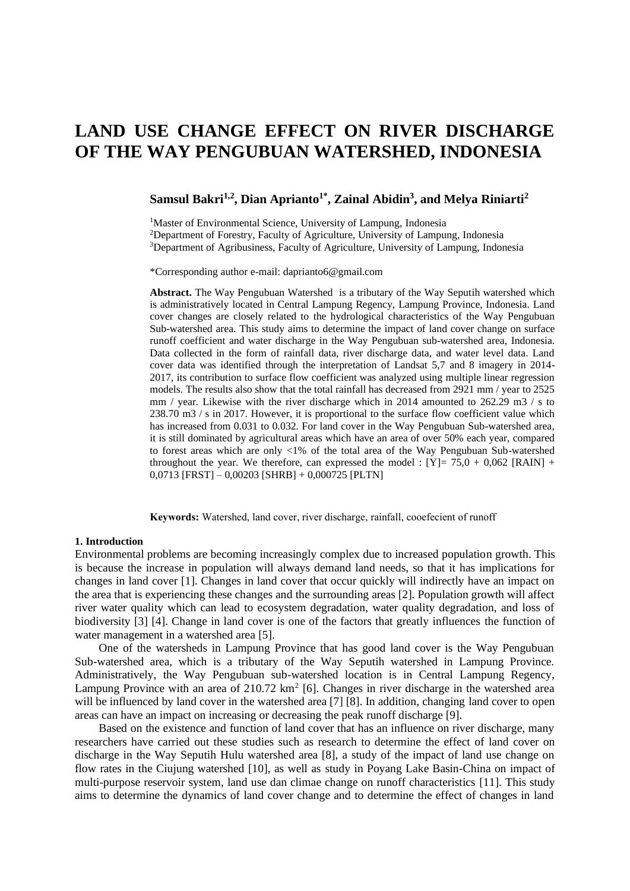# **LAND USE CHANGE EFFECT ON RIVER DISCHARGE OF THE WAY PENGUBUAN WATERSHED, INDONESIA**

# **Samsul Bakri1,2 , Dian Aprianto1\* , Zainal Abidin<sup>3</sup> , and Melya Riniarti<sup>2</sup>**

<sup>1</sup>Master of Environmental Science, University of Lampung, Indonesia <sup>2</sup>Department of Forestry, Faculty of Agriculture, University of Lampung, Indonesia <sup>3</sup>Department of Agribusiness, Faculty of Agriculture, University of Lampung, Indonesia

\*Corresponding author e-mail: daprianto6@gmail.com

**Abstract.** The Way Pengubuan Watershed is a tributary of the Way Seputih watershed which is administratively located in Central Lampung Regency, Lampung Province, Indonesia. Land cover changes are closely related to the hydrological characteristics of the Way Pengubuan Sub-watershed area. This study aims to determine the impact of land cover change on surface runoff coefficient and water discharge in the Way Pengubuan sub-watershed area, Indonesia. Data collected in the form of rainfall data, river discharge data, and water level data. Land cover data was identified through the interpretation of Landsat 5,7 and 8 imagery in 2014- 2017, its contribution to surface flow coefficient was analyzed using multiple linear regression models. The results also show that the total rainfall has decreased from 2921 mm / year to 2525 mm / year. Likewise with the river discharge which in 2014 amounted to 262.29 m3 / s to 238.70 m3 / s in 2017. However, it is proportional to the surface flow coefficient value which has increased from 0.031 to 0.032. For land cover in the Way Pengubuan Sub-watershed area, it is still dominated by agricultural areas which have an area of over 50% each year, compared to forest areas which are only  $\langle 1\%$  of the total area of the Way Pengubuan Sub-watershed throughout the year. We therefore, can expressed the model :  $[Y] = 75.0 + 0.062$  [RAIN] + 0,0713 [FRST] – 0,00203 [SHRB] + 0,000725 [PLTN]

**Keywords:** Watershed, land cover, river discharge, rainfall, cooefecient of runoff

#### **1. Introduction**

Environmental problems are becoming increasingly complex due to increased population growth. This is because the increase in population will always demand land needs, so that it has implications for changes in land cover [1]. Changes in land cover that occur quickly will indirectly have an impact on the area that is experiencing these changes and the surrounding areas [2]. Population growth will affect river water quality which can lead to ecosystem degradation, water quality degradation, and loss of biodiversity [3] [4]. Change in land cover is one of the factors that greatly influences the function of water management in a watershed area [5].

One of the watersheds in Lampung Province that has good land cover is the Way Pengubuan Sub-watershed area, which is a tributary of the Way Seputih watershed in Lampung Province. Administratively, the Way Pengubuan sub-watershed location is in Central Lampung Regency, Lampung Province with an area of  $210.72 \text{ km}^2$  [6]. Changes in river discharge in the watershed area will be influenced by land cover in the watershed area [7] [8]. In addition, changing land cover to open areas can have an impact on increasing or decreasing the peak runoff discharge [9].

Based on the existence and function of land cover that has an influence on river discharge, many researchers have carried out these studies such as research to determine the effect of land cover on discharge in the Way Seputih Hulu watershed area [8], a study of the impact of land use change on flow rates in the Ciujung watershed [10], as well as study in Poyang Lake Basin-China on impact of multi-purpose reservoir system, land use dan climae change on runoff characteristics [11]. This study aims to determine the dynamics of land cover change and to determine the effect of changes in land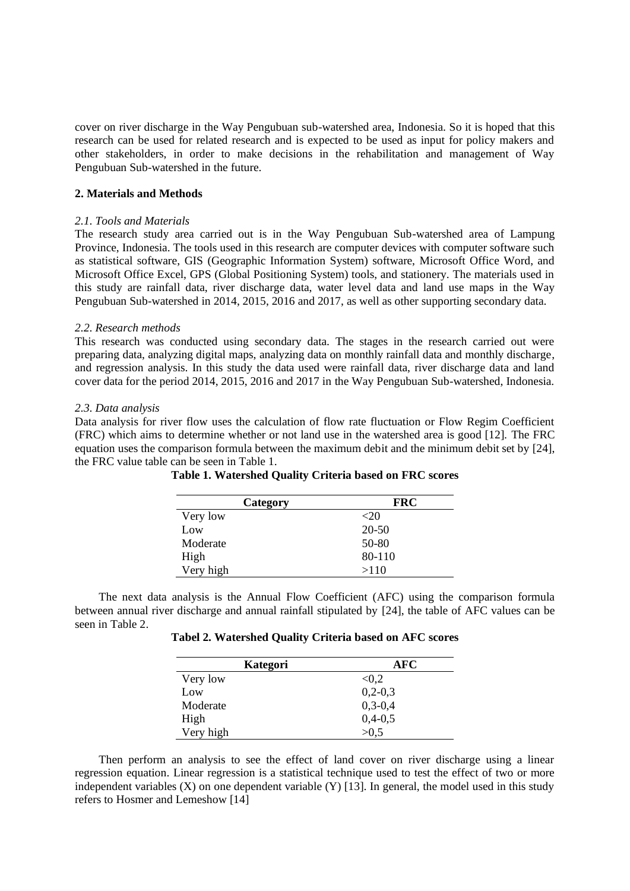cover on river discharge in the Way Pengubuan sub-watershed area, Indonesia. So it is hoped that this research can be used for related research and is expected to be used as input for policy makers and other stakeholders, in order to make decisions in the rehabilitation and management of Way Pengubuan Sub-watershed in the future.

#### **2. Materials and Methods**

## *2.1. Tools and Materials*

The research study area carried out is in the Way Pengubuan Sub-watershed area of Lampung Province, Indonesia. The tools used in this research are computer devices with computer software such as statistical software, GIS (Geographic Information System) software, Microsoft Office Word, and Microsoft Office Excel, GPS (Global Positioning System) tools, and stationery. The materials used in this study are rainfall data, river discharge data, water level data and land use maps in the Way Pengubuan Sub-watershed in 2014, 2015, 2016 and 2017, as well as other supporting secondary data.

#### *2.2. Research methods*

This research was conducted using secondary data. The stages in the research carried out were preparing data, analyzing digital maps, analyzing data on monthly rainfall data and monthly discharge, and regression analysis. In this study the data used were rainfall data, river discharge data and land cover data for the period 2014, 2015, 2016 and 2017 in the Way Pengubuan Sub-watershed, Indonesia.

#### *2.3. Data analysis*

Data analysis for river flow uses the calculation of flow rate fluctuation or Flow Regim Coefficient (FRC) which aims to determine whether or not land use in the watershed area is good [12]. The FRC equation uses the comparison formula between the maximum debit and the minimum debit set by [24], the FRC value table can be seen in Table 1.

| Category  | <b>FRC</b> |
|-----------|------------|
| Very low  | $<$ 20     |
| Low       | 20-50      |
| Moderate  | 50-80      |
| High      | 80-110     |
| Very high | >110       |

**Table 1. Watershed Quality Criteria based on FRC scores**

The next data analysis is the Annual Flow Coefficient (AFC) using the comparison formula between annual river discharge and annual rainfall stipulated by [24], the table of AFC values can be seen in Table 2.

**Tabel 2. Watershed Quality Criteria based on AFC scores**

| Kategori  | AFC           |
|-----------|---------------|
| Very low  | < 0.2         |
| Low       | $0,2-0,3$     |
| Moderate  | $0, 3 - 0, 4$ |
| High      | $0,4-0,5$     |
| Very high | >0.5          |

Then perform an analysis to see the effect of land cover on river discharge using a linear regression equation. Linear regression is a statistical technique used to test the effect of two or more independent variables  $(X)$  on one dependent variable  $(Y)$  [13]. In general, the model used in this study refers to Hosmer and Lemeshow [14]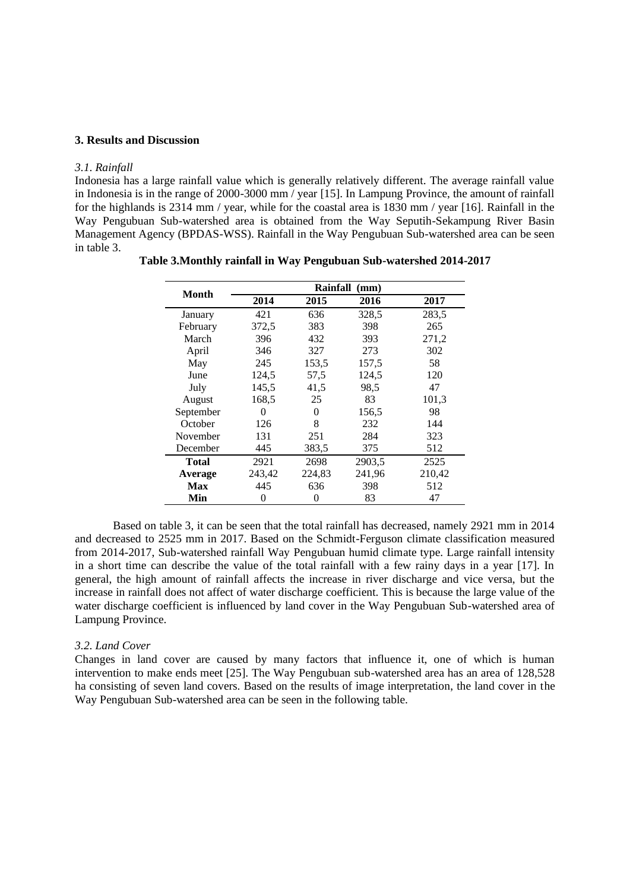#### **3. Results and Discussion**

#### *3.1. Rainfall*

Indonesia has a large rainfall value which is generally relatively different. The average rainfall value in Indonesia is in the range of 2000-3000 mm / year [15]. In Lampung Province, the amount of rainfall for the highlands is 2314 mm / year, while for the coastal area is 1830 mm / year [16]. Rainfall in the Way Pengubuan Sub-watershed area is obtained from the Way Seputih-Sekampung River Basin Management Agency (BPDAS-WSS). Rainfall in the Way Pengubuan Sub-watershed area can be seen in table 3.

| Month     |        | Rainfall | (mm)   |        |
|-----------|--------|----------|--------|--------|
|           | 2014   | 2015     | 2016   | 2017   |
| January   | 421    | 636      | 328,5  | 283,5  |
| February  | 372,5  | 383      | 398    | 265    |
| March     | 396    | 432      | 393    | 271,2  |
| April     | 346    | 327      | 273    | 302    |
| May       | 245    | 153,5    | 157,5  | 58     |
| June      | 124,5  | 57,5     | 124,5  | 120    |
| July      | 145,5  | 41,5     | 98,5   | 47     |
| August    | 168.5  | 25       | 83     | 101,3  |
| September | 0      | 0        | 156,5  | 98     |
| October   | 126    | 8        | 232    | 144    |
| November  | 131    | 251      | 284    | 323    |
| December  | 445    | 383.5    | 375    | 512    |
| Total     | 2921   | 2698     | 2903,5 | 2525   |
| Average   | 243,42 | 224,83   | 241,96 | 210,42 |
| Max       | 445    | 636      | 398    | 512    |
| Min       | 0      | 0        | 83     | 47     |

**Table 3.Monthly rainfall in Way Pengubuan Sub-watershed 2014-2017**

Based on table 3, it can be seen that the total rainfall has decreased, namely 2921 mm in 2014 and decreased to 2525 mm in 2017. Based on the Schmidt-Ferguson climate classification measured from 2014-2017, Sub-watershed rainfall Way Pengubuan humid climate type. Large rainfall intensity in a short time can describe the value of the total rainfall with a few rainy days in a year [17]. In general, the high amount of rainfall affects the increase in river discharge and vice versa, but the increase in rainfall does not affect of water discharge coefficient. This is because the large value of the water discharge coefficient is influenced by land cover in the Way Pengubuan Sub-watershed area of Lampung Province.

#### *3.2. Land Cover*

Changes in land cover are caused by many factors that influence it, one of which is human intervention to make ends meet [25]. The Way Pengubuan sub-watershed area has an area of 128,528 ha consisting of seven land covers. Based on the results of image interpretation, the land cover in the Way Pengubuan Sub-watershed area can be seen in the following table.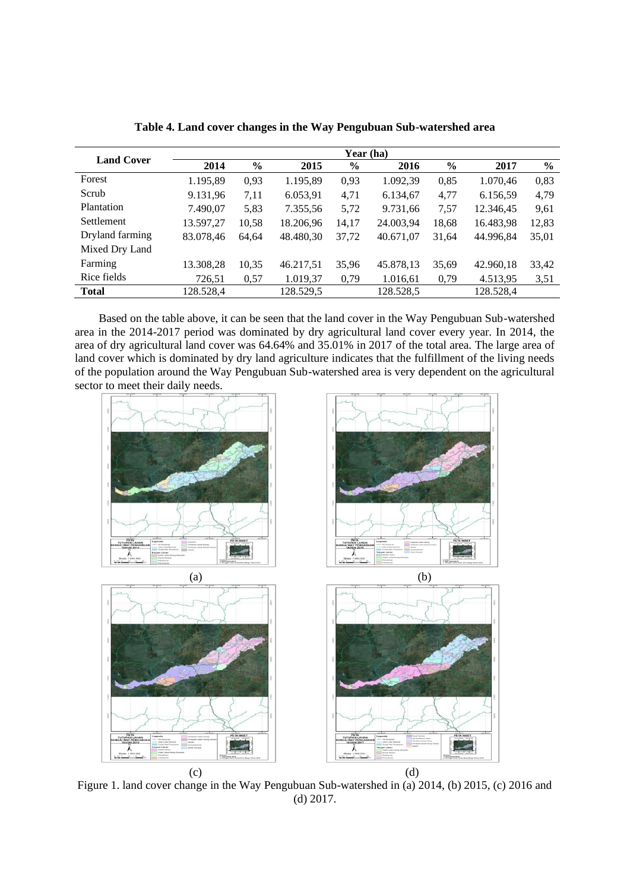|                   | Year (ha) |               |           |       |           |       |           |       |
|-------------------|-----------|---------------|-----------|-------|-----------|-------|-----------|-------|
| <b>Land Cover</b> | 2014      | $\frac{6}{9}$ | 2015      | $\%$  | 2016      | $\%$  | 2017      | $\%$  |
| Forest            | 1.195,89  | 0,93          | 1.195,89  | 0,93  | 1.092,39  | 0,85  | 1.070,46  | 0,83  |
| Scrub             | 9.131,96  | 7,11          | 6.053,91  | 4,71  | 6.134,67  | 4,77  | 6.156,59  | 4,79  |
| Plantation        | 7.490,07  | 5,83          | 7.355,56  | 5,72  | 9.731,66  | 7,57  | 12.346,45 | 9,61  |
| Settlement        | 13.597,27 | 10,58         | 18.206,96 | 14,17 | 24.003,94 | 18,68 | 16.483,98 | 12,83 |
| Dryland farming   | 83.078,46 | 64.64         | 48.480,30 | 37,72 | 40.671,07 | 31,64 | 44.996,84 | 35,01 |
| Mixed Dry Land    |           |               |           |       |           |       |           |       |
| Farming           | 13.308,28 | 10,35         | 46.217,51 | 35,96 | 45.878,13 | 35,69 | 42.960,18 | 33,42 |
| Rice fields       | 726,51    | 0,57          | 1.019,37  | 0,79  | 1.016,61  | 0,79  | 4.513,95  | 3,51  |
| <b>Total</b>      | 128.528,4 |               | 128.529,5 |       | 128.528,5 |       | 128.528,4 |       |

**Table 4. Land cover changes in the Way Pengubuan Sub-watershed area**

Based on the table above, it can be seen that the land cover in the Way Pengubuan Sub-watershed area in the 2014-2017 period was dominated by dry agricultural land cover every year. In 2014, the area of dry agricultural land cover was 64.64% and 35.01% in 2017 of the total area. The large area of land cover which is dominated by dry land agriculture indicates that the fulfillment of the living needs of the population around the Way Pengubuan Sub-watershed area is very dependent on the agricultural sector to meet their daily needs.



Figure 1. land cover change in the Way Pengubuan Sub-watershed in (a) 2014, (b) 2015, (c) 2016 and (d) 2017.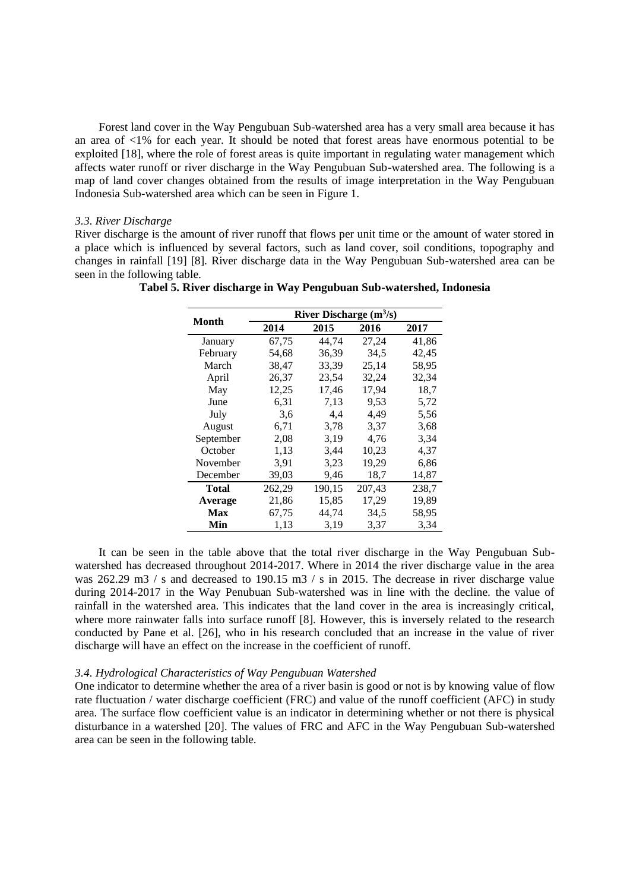Forest land cover in the Way Pengubuan Sub-watershed area has a very small area because it has an area of <1% for each year. It should be noted that forest areas have enormous potential to be exploited [18], where the role of forest areas is quite important in regulating water management which affects water runoff or river discharge in the Way Pengubuan Sub-watershed area. The following is a map of land cover changes obtained from the results of image interpretation in the Way Pengubuan Indonesia Sub-watershed area which can be seen in Figure 1.

#### *3.3. River Discharge*

River discharge is the amount of river runoff that flows per unit time or the amount of water stored in a place which is influenced by several factors, such as land cover, soil conditions, topography and changes in rainfall [19] [8]. River discharge data in the Way Pengubuan Sub-watershed area can be seen in the following table.

|           | River Discharge $(m^3/s)$ |        |        |             |  |  |
|-----------|---------------------------|--------|--------|-------------|--|--|
| Month     | 2014                      | 2015   | 2016   | <b>2017</b> |  |  |
| January   | 67,75                     | 44.74  | 27,24  | 41,86       |  |  |
| February  | 54,68                     | 36,39  | 34,5   | 42,45       |  |  |
| March     | 38,47                     | 33,39  | 25,14  | 58,95       |  |  |
| April     | 26,37                     | 23,54  | 32,24  | 32,34       |  |  |
| May       | 12,25                     | 17,46  | 17,94  | 18,7        |  |  |
| June      | 6,31                      | 7,13   | 9,53   | 5,72        |  |  |
| July      | 3,6                       | 4,4    | 4,49   | 5,56        |  |  |
| August    | 6,71                      | 3,78   | 3,37   | 3,68        |  |  |
| September | 2,08                      | 3,19   | 4,76   | 3,34        |  |  |
| October   | 1,13                      | 3,44   | 10,23  | 4,37        |  |  |
| November  | 3.91                      | 3.23   | 19,29  | 6,86        |  |  |
| December  | 39,03                     | 9,46   | 18,7   | 14,87       |  |  |
| Total     | 262,29                    | 190,15 | 207,43 | 238,7       |  |  |
| Average   | 21,86                     | 15,85  | 17,29  | 19,89       |  |  |
| Max       | 67,75                     | 44,74  | 34,5   | 58,95       |  |  |
| Min       | 1,13                      | 3,19   | 3,37   | 3,34        |  |  |

**Tabel 5. River discharge in Way Pengubuan Sub-watershed, Indonesia**

It can be seen in the table above that the total river discharge in the Way Pengubuan Subwatershed has decreased throughout 2014-2017. Where in 2014 the river discharge value in the area was 262.29 m3 / s and decreased to 190.15 m3 / s in 2015. The decrease in river discharge value during 2014-2017 in the Way Penubuan Sub-watershed was in line with the decline. the value of rainfall in the watershed area. This indicates that the land cover in the area is increasingly critical, where more rainwater falls into surface runoff [8]. However, this is inversely related to the research conducted by Pane et al. [26], who in his research concluded that an increase in the value of river discharge will have an effect on the increase in the coefficient of runoff.

#### *3.4. Hydrological Characteristics of Way Pengubuan Watershed*

One indicator to determine whether the area of a river basin is good or not is by knowing value of flow rate fluctuation / water discharge coefficient (FRC) and value of the runoff coefficient (AFC) in study area. The surface flow coefficient value is an indicator in determining whether or not there is physical disturbance in a watershed [20]. The values of FRC and AFC in the Way Pengubuan Sub-watershed area can be seen in the following table.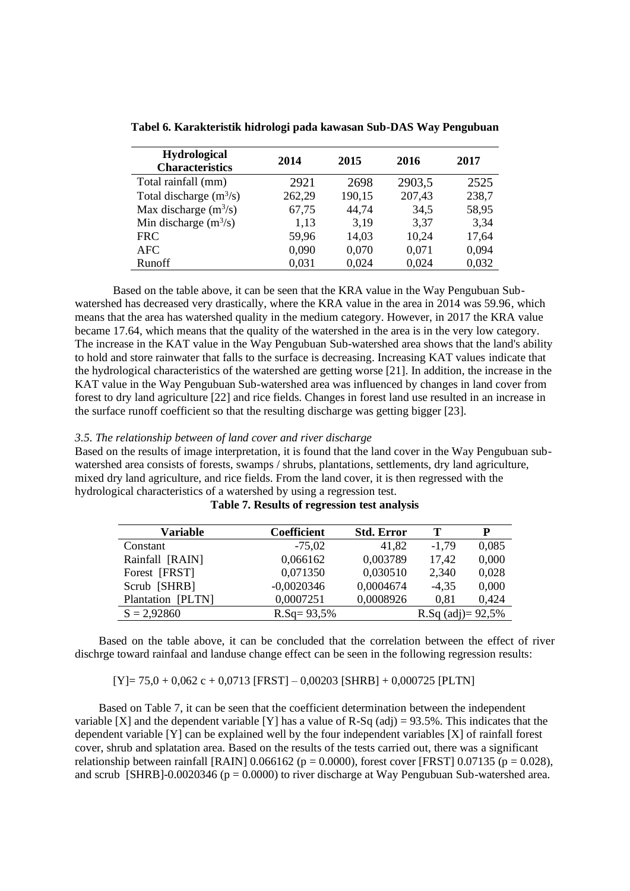| <b>Hydrological</b><br><b>Characteristics</b> | 2014   | 2015   | 2016   | 2017  |
|-----------------------------------------------|--------|--------|--------|-------|
| Total rainfall (mm)                           | 2921   | 2698   | 2903,5 | 2525  |
| Total discharge $(m^3/s)$                     | 262,29 | 190,15 | 207,43 | 238,7 |
| Max discharge $(m^3/s)$                       | 67,75  | 44,74  | 34,5   | 58,95 |
| Min discharge $(m^3/s)$                       | 1,13   | 3,19   | 3,37   | 3,34  |
| <b>FRC</b>                                    | 59,96  | 14,03  | 10,24  | 17,64 |
| AFC.                                          | 0,090  | 0,070  | 0,071  | 0,094 |
| <b>Runoff</b>                                 | 0,031  | 0,024  | 0,024  | 0.032 |

**Tabel 6. Karakteristik hidrologi pada kawasan Sub-DAS Way Pengubuan**

Based on the table above, it can be seen that the KRA value in the Way Pengubuan Subwatershed has decreased very drastically, where the KRA value in the area in 2014 was 59.96, which means that the area has watershed quality in the medium category. However, in 2017 the KRA value became 17.64, which means that the quality of the watershed in the area is in the very low category. The increase in the KAT value in the Way Pengubuan Sub-watershed area shows that the land's ability to hold and store rainwater that falls to the surface is decreasing. Increasing KAT values indicate that the hydrological characteristics of the watershed are getting worse [21]. In addition, the increase in the KAT value in the Way Pengubuan Sub-watershed area was influenced by changes in land cover from forest to dry land agriculture [22] and rice fields. Changes in forest land use resulted in an increase in the surface runoff coefficient so that the resulting discharge was getting bigger [23].

## *3.5. The relationship between of land cover and river discharge*

Based on the results of image interpretation, it is found that the land cover in the Way Pengubuan subwatershed area consists of forests, swamps / shrubs, plantations, settlements, dry land agriculture, mixed dry land agriculture, and rice fields. From the land cover, it is then regressed with the hydrological characteristics of a watershed by using a regression test.

| Variable          | <b>Coefficient</b> | <b>Std. Error</b> | т                                         | P     |
|-------------------|--------------------|-------------------|-------------------------------------------|-------|
| Constant          | $-75.02$           | 41,82             | $-1,79$                                   | 0,085 |
| Rainfall [RAIN]   | 0,066162           | 0,003789          | 17,42                                     | 0,000 |
| Forest [FRST]     | 0,071350           | 0,030510          | 2,340                                     | 0,028 |
| Scrub [SHRB]      | $-0.0020346$       | 0,0004674         | $-4.35$                                   | 0,000 |
| Plantation [PLTN] | 0,0007251          | 0,0008926         | 0.81                                      | 0,424 |
| $S = 2,92860$     | $R.Sq = 93,5%$     |                   | R.Sq $\left( \text{adj} \right) = 92.5\%$ |       |

**Table 7. Results of regression test analysis**

Based on the table above, it can be concluded that the correlation between the effect of river dischrge toward rainfaal and landuse change effect can be seen in the following regression results:

 $[Y] = 75.0 + 0.062$  c + 0.0713 [FRST] – 0.00203 [SHRB] + 0.000725 [PLTN]

Based on Table 7, it can be seen that the coefficient determination between the independent variable [X] and the dependent variable [Y] has a value of R-Sq  $\left(\frac{adj}{)}\right) = 93.5\%$ . This indicates that the dependent variable [Y] can be explained well by the four independent variables [X] of rainfall forest cover, shrub and splatation area. Based on the results of the tests carried out, there was a significant relationship between rainfall [RAIN]  $0.066162$  (p = 0.0000), forest cover [FRST]  $0.07135$  (p = 0.028), and scrub [SHRB]-0.0020346 ( $p = 0.0000$ ) to river discharge at Way Pengubuan Sub-watershed area.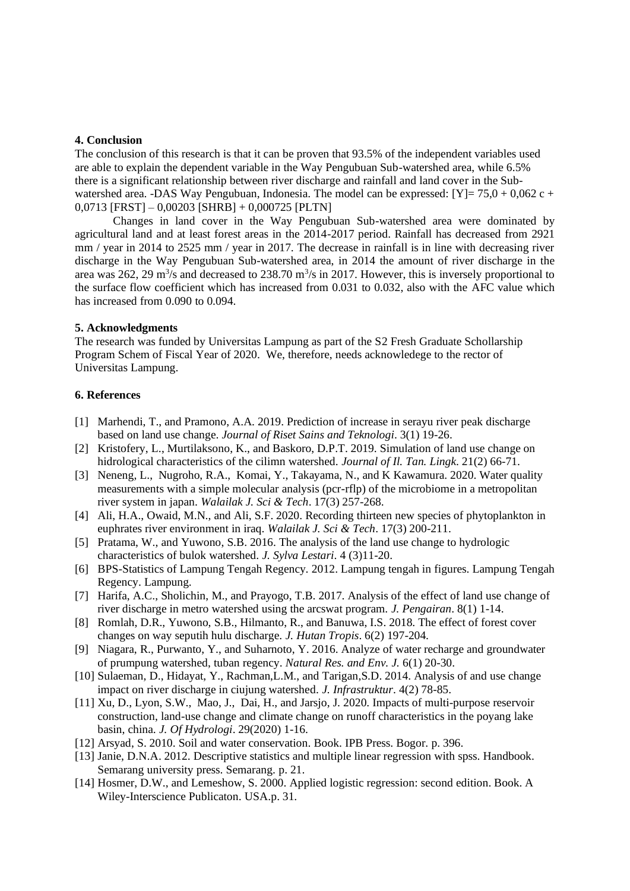#### **4. Conclusion**

The conclusion of this research is that it can be proven that 93.5% of the independent variables used are able to explain the dependent variable in the Way Pengubuan Sub-watershed area, while 6.5% there is a significant relationship between river discharge and rainfall and land cover in the Subwatershed area. -DAS Way Pengubuan, Indonesia. The model can be expressed:  $[Y] = 75.0 + 0.062$  c + 0,0713 [FRST] – 0,00203 [SHRB] + 0,000725 [PLTN]

Changes in land cover in the Way Pengubuan Sub-watershed area were dominated by agricultural land and at least forest areas in the 2014-2017 period. Rainfall has decreased from 2921 mm / year in 2014 to 2525 mm / year in 2017. The decrease in rainfall is in line with decreasing river discharge in the Way Pengubuan Sub-watershed area, in 2014 the amount of river discharge in the area was 262, 29  $\mathrm{m}^3$ /s and decreased to 238.70  $\mathrm{m}^3$ /s in 2017. However, this is inversely proportional to the surface flow coefficient which has increased from 0.031 to 0.032, also with the AFC value which has increased from 0.090 to 0.094.

#### **5. Acknowledgments**

The research was funded by Universitas Lampung as part of the S2 Fresh Graduate Schollarship Program Schem of Fiscal Year of 2020. We, therefore, needs acknowledege to the rector of Universitas Lampung.

#### **6. References**

- [1] Marhendi, T., and Pramono, A.A. 2019. Prediction of increase in serayu river peak discharge based on land use change. *Journal of Riset Sains and Teknologi*. 3(1) 19-26.
- [2] Kristofery, L., Murtilaksono, K., and Baskoro, D.P.T. 2019. Simulation of land use change on hidrological characteristics of the cilimn watershed. *Journal of Il. Tan. Lingk*. 21(2) 66-71.
- [3] Neneng, L., Nugroho, R.A., Komai, Y., Takayama, N., and K Kawamura. 2020. Water quality measurements with a simple molecular analysis (pcr-rflp) of the microbiome in a metropolitan river system in japan. *Walailak J. Sci & Tech*. 17(3) 257-268.
- [4] Ali, H.A., Owaid, M.N., and Ali, S.F. 2020. Recording thirteen new species of phytoplankton in euphrates river environment in iraq. *Walailak J. Sci & Tech*. 17(3) 200-211.
- [5] Pratama, W., and Yuwono, S.B. 2016. The analysis of the land use change to hydrologic characteristics of bulok watershed. *J. Sylva Lestari*. 4 (3)11-20.
- [6] BPS-Statistics of Lampung Tengah Regency. 2012. Lampung tengah in figures. Lampung Tengah Regency. Lampung.
- [7] Harifa, A.C., Sholichin, M., and Prayogo, T.B. 2017. Analysis of the effect of land use change of river discharge in metro watershed using the arcswat program. *J. Pengairan*. 8(1) 1-14.
- [8] Romlah, D.R., Yuwono, S.B., Hilmanto, R., and Banuwa, I.S. 2018. The effect of forest cover changes on way seputih hulu discharge. *J. Hutan Tropis*. 6(2) 197-204.
- [9] Niagara, R., Purwanto, Y., and Suharnoto, Y. 2016. Analyze of water recharge and groundwater of prumpung watershed, tuban regency. *Natural Res. and Env. J.* 6(1) 20-30.
- [10] Sulaeman, D., Hidayat, Y., Rachman,L.M., and Tarigan,S.D. 2014. Analysis of and use change impact on river discharge in ciujung watershed. *J. Infrastruktur*. 4(2) 78-85.
- [11] Xu, D., Lyon, S.W., Mao, J., Dai, H., and Jarsjo, J. 2020. Impacts of multi-purpose reservoir construction, land-use change and climate change on runoff characteristics in the poyang lake basin, china. *J. Of Hydrologi*. 29(2020) 1-16.
- [12] Arsyad, S. 2010. Soil and water conservation. Book. IPB Press. Bogor. p. 396.
- [13] Janie, D.N.A. 2012. Descriptive statistics and multiple linear regression with spss. Handbook. Semarang university press. Semarang. p. 21.
- [14] Hosmer, D.W., and Lemeshow, S. 2000. Applied logistic regression: second edition. Book. A Wiley-Interscience Publicaton. USA.p. 31.